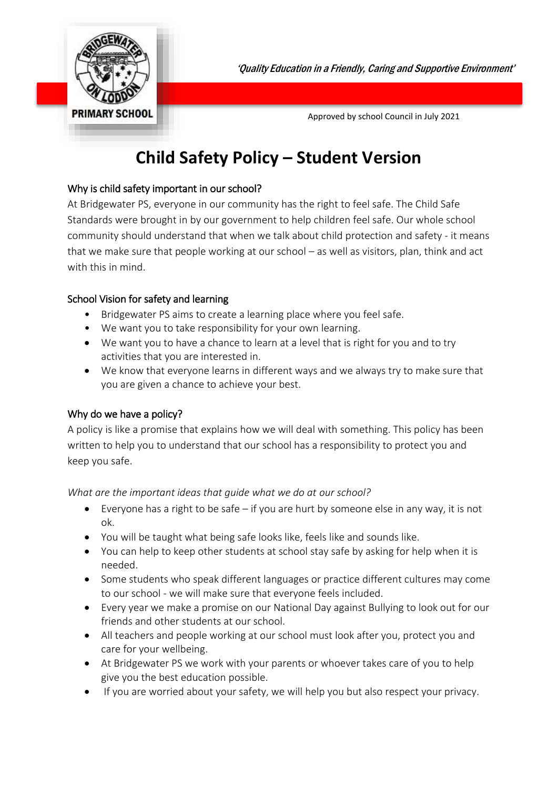

'Quality Education in a Friendly, Caring and Supportive Environment'

**PRIMARY SCHOOL Approved by school Council in July 2021** 

# **Child Safety Policy – Student Version**

# Why is child safety important in our school?

At Bridgewater PS, everyone in our community has the right to feel safe. The Child Safe Standards were brought in by our government to help children feel safe. Our whole school community should understand that when we talk about child protection and safety - it means that we make sure that people working at our school – as well as visitors, plan, think and act with this in mind.

# School Vision for safety and learning

- Bridgewater PS aims to create a learning place where you feel safe.
- We want you to take responsibility for your own learning.
- We want you to have a chance to learn at a level that is right for you and to try activities that you are interested in.
- We know that everyone learns in different ways and we always try to make sure that you are given a chance to achieve your best.

# Why do we have a policy?

A policy is like a promise that explains how we will deal with something. This policy has been written to help you to understand that our school has a responsibility to protect you and keep you safe.

# *What are the important ideas that guide what we do at our school?*

- Everyone has a right to be safe if you are hurt by someone else in any way, it is not ok.
- You will be taught what being safe looks like, feels like and sounds like.
- You can help to keep other students at school stay safe by asking for help when it is needed.
- Some students who speak different languages or practice different cultures may come to our school - we will make sure that everyone feels included.
- Every year we make a promise on our National Day against Bullying to look out for our friends and other students at our school.
- All teachers and people working at our school must look after you, protect you and care for your wellbeing.
- At Bridgewater PS we work with your parents or whoever takes care of you to help give you the best education possible.
- If you are worried about your safety, we will help you but also respect your privacy.